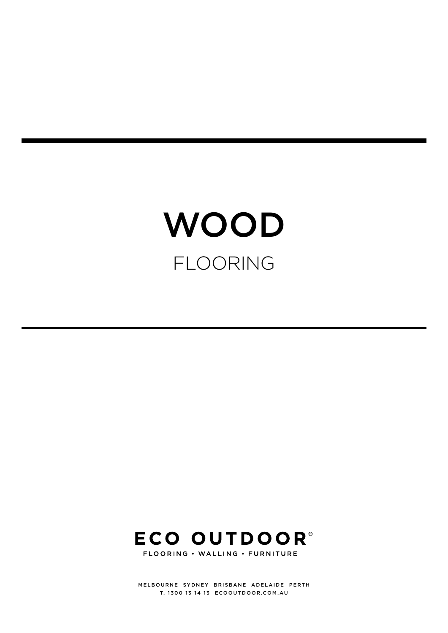# **WOOD** FLOORING



MELBOURNE SYDNEY BRISBANE ADELAIDE PERTH T. 1300 13 14 13 [ECOOUTDOOR.COM.AU](https://www.ecooutdoor.com.au/)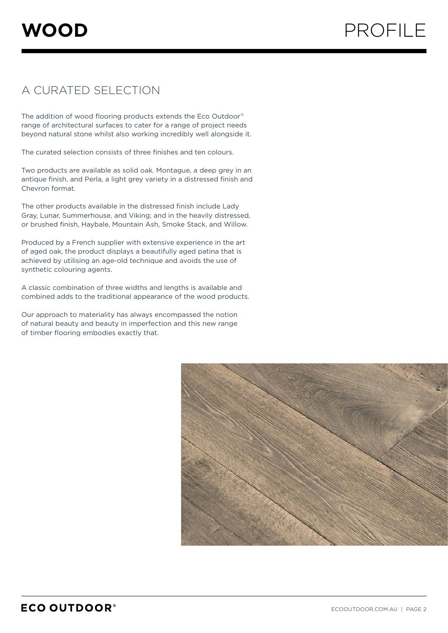## A CURATED SELECTION

The addition of wood flooring products extends the Eco Outdoor® range of architectural surfaces to cater for a range of project needs beyond natural stone whilst also working incredibly well alongside it.

The curated selection consists of three finishes and ten colours.

Two products are available as solid oak. Montague, a deep grey in an antique finish, and Perla, a light grey variety in a distressed finish and Chevron format.

The other products available in the distressed finish include Lady Gray, Lunar, Summerhouse, and Viking; and in the heavily distressed, or brushed finish, Haybale, Mountain Ash, Smoke Stack, and Willow.

Produced by a French supplier with extensive experience in the art of aged oak, the product displays a beautifully aged patina that is achieved by utilising an age-old technique and avoids the use of synthetic colouring agents.

A classic combination of three widths and lengths is available and combined adds to the traditional appearance of the wood products.

Our approach to materiality has always encompassed the notion of natural beauty and beauty in imperfection and this new range of timber flooring embodies exactly that.

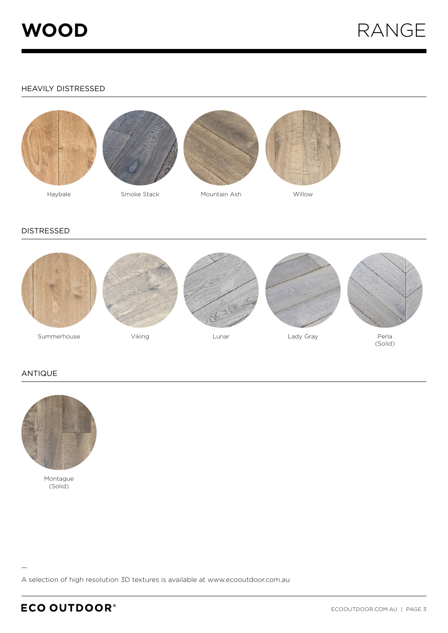

## HEAVILY DISTRESSED





Smoke Stack







Willow

#### DISTRESSED



### ANTIQUE



Montague (Solid)

A selection of high resolution 3D textures is available at [www.ecooutdoor.com.au](https://www.ecooutdoor.com.au/)

—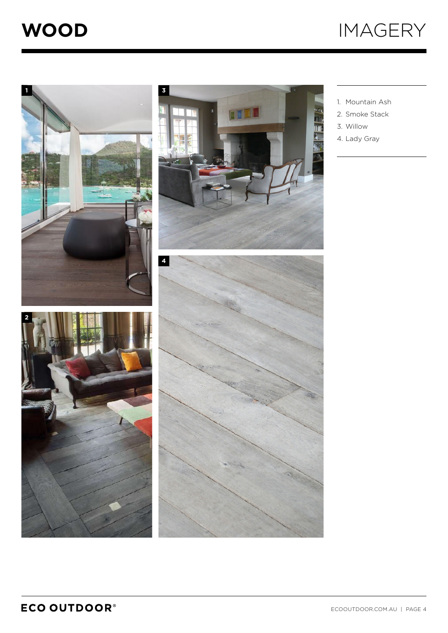





- 1. Mountain Ash
- 2. Smoke Stack
- 3. Willow
- 4. Lady Gray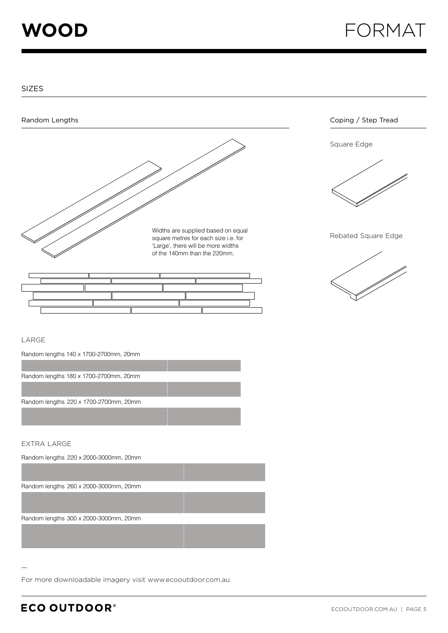**WOOD** FORMAT

SIZES



#### LARGE

Random lengths 140 x 1700-2700mm, 20mm



#### EXTRA LARGE

—

| Random lengths 220 x 2000-3000mm, 20mm |  |
|----------------------------------------|--|
|                                        |  |
| Random lengths 260 x 2000-3000mm, 20mm |  |
|                                        |  |
| Random lengths 300 x 2000-3000mm, 20mm |  |
|                                        |  |
|                                        |  |

For more downloadable imagery visit [www.ecooutdoor.com.au](https://www.ecooutdoor.com.au/)